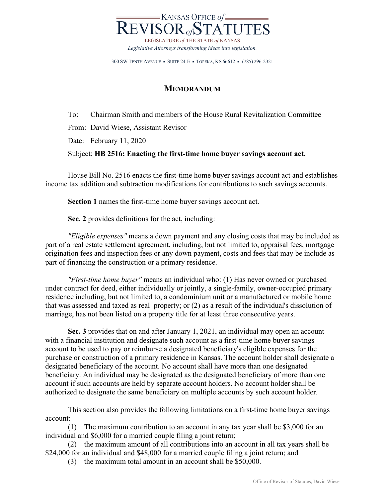

300 SW TENTH AVENUE = SUITE 24-E = TOPEKA, KS 66612 = (785) 296-2321

## **MEMORANDUM**

To: Chairman Smith and members of the House Rural Revitalization Committee From: David Wiese, Assistant Revisor Date: February 11, 2020 Subject: **HB 2516; Enacting the first-time home buyer savings account act.**

House Bill No. 2516 enacts the first-time home buyer savings account act and establishes income tax addition and subtraction modifications for contributions to such savings accounts.

**Section 1** names the first-time home buyer savings account act.

**Sec. 2** provides definitions for the act, including:

*"Eligible expenses"* means a down payment and any closing costs that may be included as part of a real estate settlement agreement, including, but not limited to, appraisal fees, mortgage origination fees and inspection fees or any down payment, costs and fees that may be include as part of financing the construction or a primary residence.

*"First-time home buyer"* means an individual who: (1) Has never owned or purchased under contract for deed, either individually or jointly, a single-family, owner-occupied primary residence including, but not limited to, a condominium unit or a manufactured or mobile home that was assessed and taxed as real property; or (2) as a result of the individual's dissolution of marriage, has not been listed on a property title for at least three consecutive years.

**Sec. 3** provides that on and after January 1, 2021, an individual may open an account with a financial institution and designate such account as a first-time home buyer savings account to be used to pay or reimburse a designated beneficiary's eligible expenses for the purchase or construction of a primary residence in Kansas. The account holder shall designate a designated beneficiary of the account. No account shall have more than one designated beneficiary. An individual may be designated as the designated beneficiary of more than one account if such accounts are held by separate account holders. No account holder shall be authorized to designate the same beneficiary on multiple accounts by such account holder.

This section also provides the following limitations on a first-time home buyer savings account:

(1) The maximum contribution to an account in any tax year shall be \$3,000 for an individual and \$6,000 for a married couple filing a joint return;

(2) the maximum amount of all contributions into an account in all tax years shall be \$24,000 for an individual and \$48,000 for a married couple filing a joint return; and

(3) the maximum total amount in an account shall be \$50,000.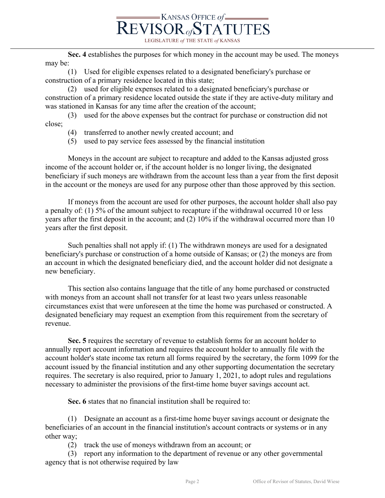

LEGISLATURE *of* THE STATE *of* KANSAS

**Sec. 4** establishes the purposes for which money in the account may be used. The moneys may be:

(1) Used for eligible expenses related to a designated beneficiary's purchase or construction of a primary residence located in this state;

(2) used for eligible expenses related to a designated beneficiary's purchase or construction of a primary residence located outside the state if they are active-duty military and was stationed in Kansas for any time after the creation of the account;

(3) used for the above expenses but the contract for purchase or construction did not close;

- (4) transferred to another newly created account; and
- (5) used to pay service fees assessed by the financial institution

Moneys in the account are subject to recapture and added to the Kansas adjusted gross income of the account holder or, if the account holder is no longer living, the designated beneficiary if such moneys are withdrawn from the account less than a year from the first deposit in the account or the moneys are used for any purpose other than those approved by this section.

If moneys from the account are used for other purposes, the account holder shall also pay a penalty of: (1) 5% of the amount subject to recapture if the withdrawal occurred 10 or less years after the first deposit in the account; and (2) 10% if the withdrawal occurred more than 10 years after the first deposit.

Such penalties shall not apply if: (1) The withdrawn moneys are used for a designated beneficiary's purchase or construction of a home outside of Kansas; or (2) the moneys are from an account in which the designated beneficiary died, and the account holder did not designate a new beneficiary.

This section also contains language that the title of any home purchased or constructed with moneys from an account shall not transfer for at least two years unless reasonable circumstances exist that were unforeseen at the time the home was purchased or constructed. A designated beneficiary may request an exemption from this requirement from the secretary of revenue.

**Sec. 5** requires the secretary of revenue to establish forms for an account holder to annually report account information and requires the account holder to annually file with the account holder's state income tax return all forms required by the secretary, the form 1099 for the account issued by the financial institution and any other supporting documentation the secretary requires. The secretary is also required, prior to January 1, 2021, to adopt rules and regulations necessary to administer the provisions of the first-time home buyer savings account act.

**Sec. 6** states that no financial institution shall be required to:

(1) Designate an account as a first-time home buyer savings account or designate the beneficiaries of an account in the financial institution's account contracts or systems or in any other way;

(2) track the use of moneys withdrawn from an account; or

(3) report any information to the department of revenue or any other governmental agency that is not otherwise required by law